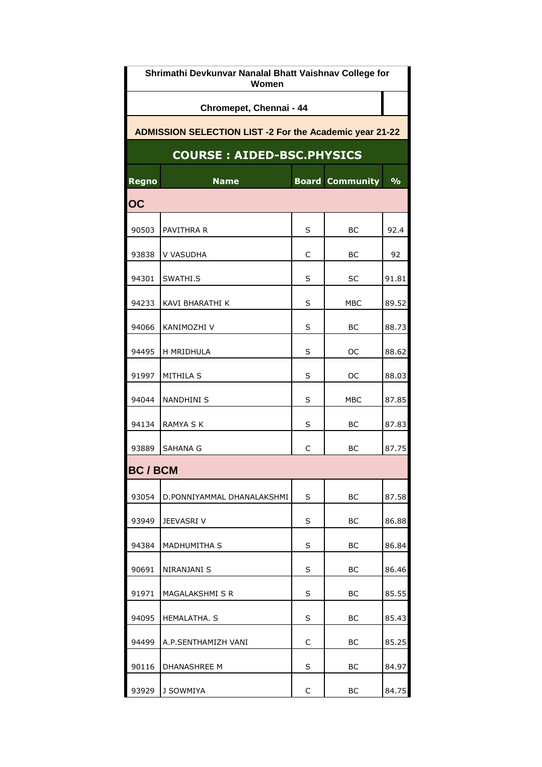| Shrimathi Devkunvar Nanalal Bhatt Vaishnav College for<br>Women |                            |              |                  |               |  |  |  |  |
|-----------------------------------------------------------------|----------------------------|--------------|------------------|---------------|--|--|--|--|
| Chromepet, Chennai - 44                                         |                            |              |                  |               |  |  |  |  |
| <b>ADMISSION SELECTION LIST -2 For the Academic year 21-22</b>  |                            |              |                  |               |  |  |  |  |
| <b>COURSE: AIDED-BSC.PHYSICS</b>                                |                            |              |                  |               |  |  |  |  |
| Regno                                                           | <b>Name</b>                | <b>Board</b> | <b>Community</b> | $\frac{9}{6}$ |  |  |  |  |
| OC                                                              |                            |              |                  |               |  |  |  |  |
| 90503                                                           | PAVITHRA R                 | S            | BС               | 92.4          |  |  |  |  |
| 93838                                                           | V VASUDHA                  | C            | BС               | 92            |  |  |  |  |
| 94301                                                           | SWATHI.S                   | S            | SC               | 91.81         |  |  |  |  |
| 94233                                                           | KAVI BHARATHI K            | S            | MBC              | 89.52         |  |  |  |  |
| 94066                                                           | KANIMOZHI V                | S            | BС               | 88.73         |  |  |  |  |
| 94495                                                           | H MRIDHULA                 | S            | OС               | 88.62         |  |  |  |  |
| 91997                                                           | MITHILA S                  | S            | OС               | 88.03         |  |  |  |  |
| 94044                                                           | <b>NANDHINI S</b>          | S            | MBC              | 87.85         |  |  |  |  |
| 94134                                                           | RAMYA S K                  | S            | BС               | 87.83         |  |  |  |  |
| 93889                                                           | SAHANA G                   | C            | ВC               | 87.75         |  |  |  |  |
| <b>BC/BCM</b>                                                   |                            |              |                  |               |  |  |  |  |
| 93054                                                           | D.PONNIYAMMAL DHANALAKSHMI | S            | BС               | 87.58         |  |  |  |  |
| 93949                                                           | JEEVASRI V                 | S            | BС               | 86.88         |  |  |  |  |
| 94384                                                           | MADHUMITHA S               | S            | BC               | 86.84         |  |  |  |  |
| 90691                                                           | NIRANJANI S                | S            | BС               | 86.46         |  |  |  |  |
| 91971                                                           | MAGALAKSHMI S R            | S            | BС               | 85.55         |  |  |  |  |
| 94095                                                           | HEMALATHA. S               | S            | BС               | 85.43         |  |  |  |  |
| 94499                                                           | A.P.SENTHAMIZH VANI        | C            | BC               | 85.25         |  |  |  |  |
| 90116                                                           | DHANASHREE M               | S            | BС               | 84.97         |  |  |  |  |
| 93929                                                           | J SOWMIYA                  | С            | BС               | 84.75         |  |  |  |  |